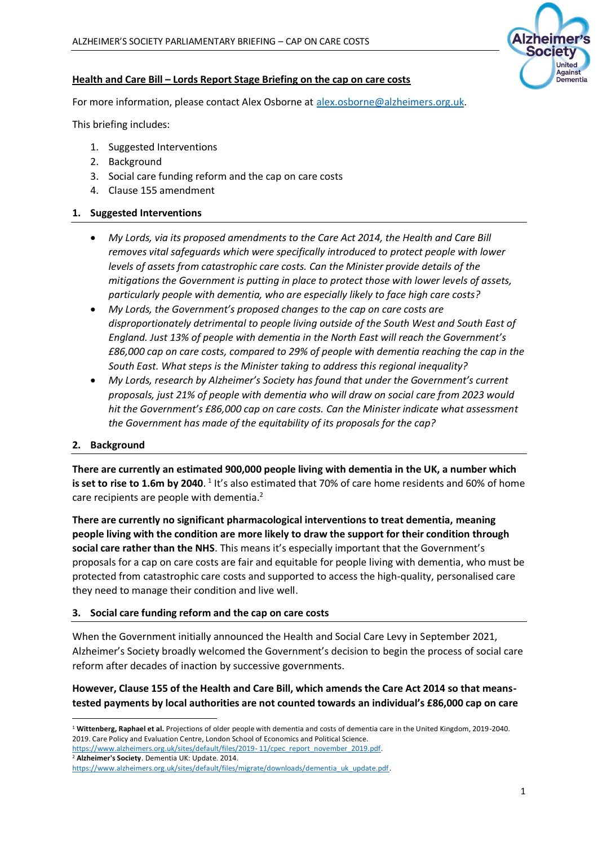# **Izheimer's Society** United Against Dementia

### **Health and Care Bill – Lords Report Stage Briefing on the cap on care costs**

For more information, please contact Alex Osborne at [alex.osborne@alzheimers.org.uk.](mailto:alex.osborne@alzheimers.org.uk)

This briefing includes:

- 1. Suggested Interventions
- 2. Background
- 3. Social care funding reform and the cap on care costs
- 4. Clause 155 amendment

### **1. Suggested Interventions**

- *My Lords, via its proposed amendments to the Care Act 2014, the Health and Care Bill removes vital safeguards which were specifically introduced to protect people with lower levels of assets from catastrophic care costs. Can the Minister provide details of the mitigations the Government is putting in place to protect those with lower levels of assets, particularly people with dementia, who are especially likely to face high care costs?*
- *My Lords, the Government's proposed changes to the cap on care costs are disproportionately detrimental to people living outside of the South West and South East of England. Just 13% of people with dementia in the North East will reach the Government's £86,000 cap on care costs, compared to 29% of people with dementia reaching the cap in the South East. What steps is the Minister taking to address this regional inequality?*
- *My Lords, research by Alzheimer's Society has found that under the Government's current proposals, just 21% of people with dementia who will draw on social care from 2023 would hit the Government's £86,000 cap on care costs. Can the Minister indicate what assessment the Government has made of the equitability of its proposals for the cap?*

#### **2. Background**

**There are currently an estimated 900,000 people living with dementia in the UK, a number which**  is set to rise to 1.6m by 2040. <sup>1</sup> It's also estimated that 70% of care home residents and 60% of home care recipients are people with dementia.<sup>2</sup>

**There are currently no significant pharmacological interventions to treat dementia, meaning people living with the condition are more likely to draw the support for their condition through social care rather than the NHS**. This means it's especially important that the Government's proposals for a cap on care costs are fair and equitable for people living with dementia, who must be protected from catastrophic care costs and supported to access the high-quality, personalised care they need to manage their condition and live well.

#### **3. Social care funding reform and the cap on care costs**

When the Government initially announced the Health and Social Care Levy in September 2021, Alzheimer's Society broadly welcomed the Government's decision to begin the process of social care reform after decades of inaction by successive governments.

# **However, Clause 155 of the Health and Care Bill, which amends the Care Act 2014 so that meanstested payments by local authorities are not counted towards an individual's £86,000 cap on care**

<sup>2</sup> **Alzheimer's Society**. Dementia UK: Update. 2014.

<sup>1</sup> **Wittenberg, Raphael et al.** Projections of older people with dementia and costs of dementia care in the United Kingdom, 2019-2040. 2019. Care Policy and Evaluation Centre, London School of Economics and Political Science. [https://www.alzheimers.org.uk/sites/default/files/2019-](https://www.alzheimers.org.uk/sites/default/files/2019-%2011/cpec_report_november_2019.pdf)11/cpec\_report\_november\_2019.pdf.

[https://www.alzheimers.org.uk/sites/default/files/migrate/downloads/dementia\\_uk\\_update.pdf.](https://www.alzheimers.org.uk/sites/default/files/migrate/downloads/dementia_uk_update.pdf)